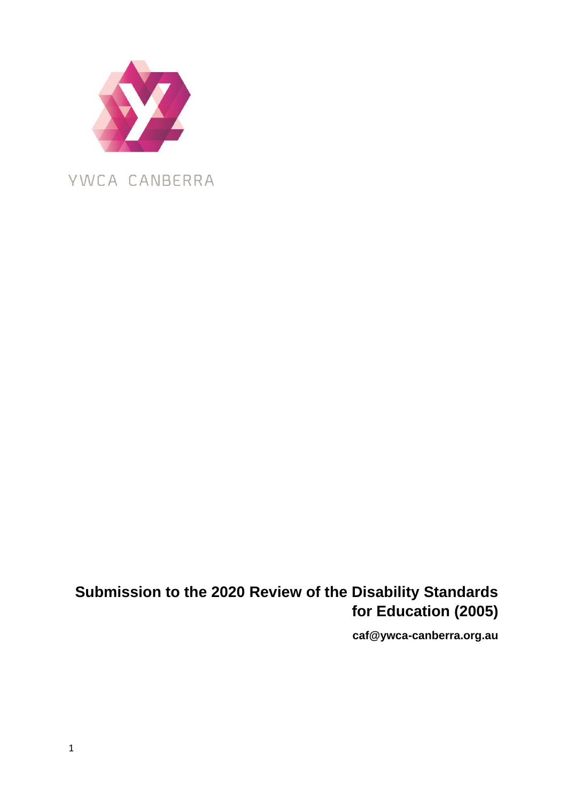

**Submission to the 2020 Review of the Disability Standards for Education (2005)** 

**caf@ywca-canberra.org.au**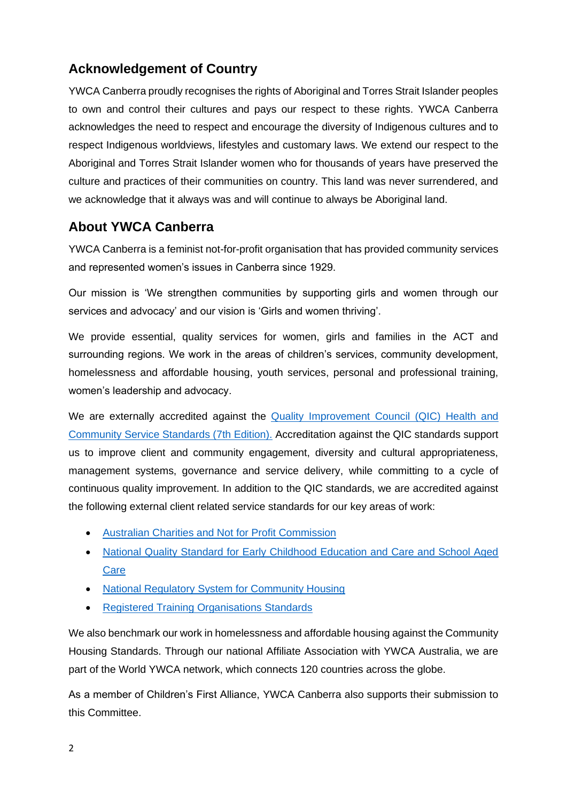# **Acknowledgement of Country**

YWCA Canberra proudly recognises the rights of Aboriginal and Torres Strait Islander peoples to own and control their cultures and pays our respect to these rights. YWCA Canberra acknowledges the need to respect and encourage the diversity of Indigenous cultures and to respect Indigenous worldviews, lifestyles and customary laws. We extend our respect to the Aboriginal and Torres Strait Islander women who for thousands of years have preserved the culture and practices of their communities on country. This land was never surrendered, and we acknowledge that it always was and will continue to always be Aboriginal land.

# **About YWCA Canberra**

YWCA Canberra is a feminist not-for-profit organisation that has provided community services and represented women's issues in Canberra since 1929.

Our mission is 'We strengthen communities by supporting girls and women through our services and advocacy' and our vision is 'Girls and women thriving'.

We provide essential, quality services for women, girls and families in the ACT and surrounding regions. We work in the areas of children's services, community development, homelessness and affordable housing, youth services, personal and professional training, women's leadership and advocacy.

We are externally accredited against the [Quality Improvement Council](https://www.qip.com.au/qic-health-community-services-standards-7th-edition-launched/) (QIC) Health and [Community Service Standards \(7th Edition\).](https://www.qip.com.au/qic-health-community-services-standards-7th-edition-launched/) Accreditation against the QIC standards support us to improve client and community engagement, diversity and cultural appropriateness, management systems, governance and service delivery, while committing to a cycle of continuous quality improvement. In addition to the QIC standards, we are accredited against the following external client related service standards for our key areas of work:

- [Australian Charities and Not for Profit Commission](https://www.acnc.gov.au/)
- [National Quality Standard for Early Childhood Education and Care and School Aged](https://www.acecqa.gov.au/nqf/national-quality-standard)  **[Care](https://www.acecqa.gov.au/nqf/national-quality-standard)**
- [National Regulatory System for Community Housing](https://www.nrsch.gov.au/)
- [Registered Training Organisations Standards](https://www.asqa.gov.au/about/asqa/key-legislation/standards-rtos)

We also benchmark our work in homelessness and affordable housing against the Community Housing Standards. Through our national Affiliate Association with YWCA Australia, we are part of the World YWCA network, which connects 120 countries across the globe.

As a member of Children's First Alliance, YWCA Canberra also supports their submission to this Committee.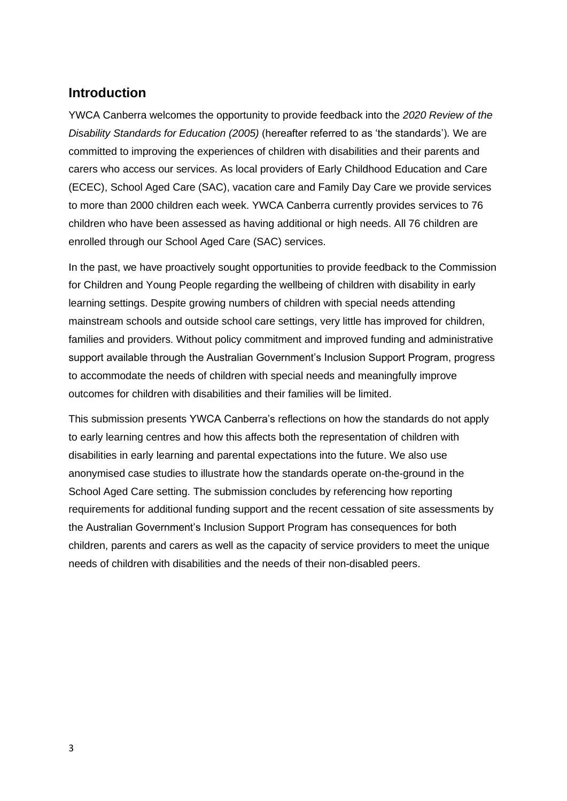## **Introduction**

YWCA Canberra welcomes the opportunity to provide feedback into the *2020 Review of the Disability Standards for Education (2005)* (hereafter referred to as 'the standards')*.* We are committed to improving the experiences of children with disabilities and their parents and carers who access our services. As local providers of Early Childhood Education and Care (ECEC), School Aged Care (SAC), vacation care and Family Day Care we provide services to more than 2000 children each week. YWCA Canberra currently provides services to 76 children who have been assessed as having additional or high needs. All 76 children are enrolled through our School Aged Care (SAC) services.

In the past, we have proactively sought opportunities to provide feedback to the Commission for Children and Young People regarding the wellbeing of children with disability in early learning settings. Despite growing numbers of children with special needs attending mainstream schools and outside school care settings, very little has improved for children, families and providers. Without policy commitment and improved funding and administrative support available through the Australian Government's Inclusion Support Program, progress to accommodate the needs of children with special needs and meaningfully improve outcomes for children with disabilities and their families will be limited.

This submission presents YWCA Canberra's reflections on how the standards do not apply to early learning centres and how this affects both the representation of children with disabilities in early learning and parental expectations into the future. We also use anonymised case studies to illustrate how the standards operate on-the-ground in the School Aged Care setting. The submission concludes by referencing how reporting requirements for additional funding support and the recent cessation of site assessments by the Australian Government's Inclusion Support Program has consequences for both children, parents and carers as well as the capacity of service providers to meet the unique needs of children with disabilities and the needs of their non-disabled peers.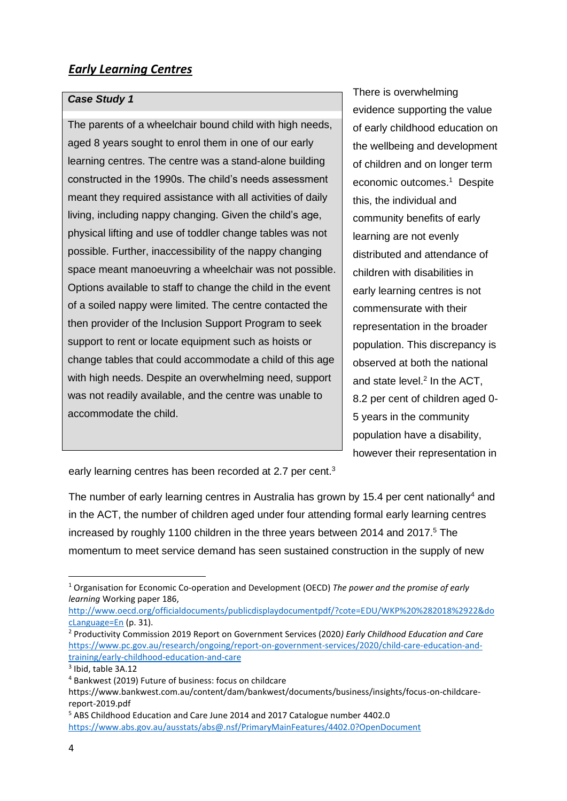## *Early Learning Centres*

#### *Case Study 1*

The parents of a wheelchair bound child with high needs, aged 8 years sought to enrol them in one of our early learning centres. The centre was a stand-alone building constructed in the 1990s. The child's needs assessment meant they required assistance with all activities of daily living, including nappy changing. Given the child's age, physical lifting and use of toddler change tables was not possible. Further, inaccessibility of the nappy changing space meant manoeuvring a wheelchair was not possible. Options available to staff to change the child in the event of a soiled nappy were limited. The centre contacted the then provider of the Inclusion Support Program to seek support to rent or locate equipment such as hoists or change tables that could accommodate a child of this age with high needs. Despite an overwhelming need, support was not readily available, and the centre was unable to accommodate the child.

There is overwhelming evidence supporting the value of early childhood education on the wellbeing and development of children and on longer term economic outcomes.<sup>1</sup> Despite this, the individual and community benefits of early learning are not evenly distributed and attendance of children with disabilities in early learning centres is not commensurate with their representation in the broader population. This discrepancy is observed at both the national and state level. 2 In the ACT, 8.2 per cent of children aged 0- 5 years in the community population have a disability, however their representation in

early learning centres has been recorded at 2.7 per cent.<sup>3</sup>

The number of early learning centres in Australia has grown by 15.4 per cent nationally<sup>4</sup> and in the ACT, the number of children aged under four attending formal early learning centres increased by roughly 1100 children in the three years between 2014 and 2017.<sup>5</sup> The momentum to meet service demand has seen sustained construction in the supply of new

[http://www.oecd.org/officialdocuments/publicdisplaydocumentpdf/?cote=EDU/WKP%20%282018%2922&do](http://www.oecd.org/officialdocuments/publicdisplaydocumentpdf/?cote=EDU/WKP%20%282018%2922&docLanguage=En) [cLanguage=En](http://www.oecd.org/officialdocuments/publicdisplaydocumentpdf/?cote=EDU/WKP%20%282018%2922&docLanguage=En) (p. 31).

<sup>1</sup> Organisation for Economic Co-operation and Development (OECD) *The power and the promise of early learning* Working paper 186,

<sup>2</sup> Productivity Commission 2019 Report on Government Services (2020*) Early Childhood Education and Care* [https://www.pc.gov.au/research/ongoing/report-on-government-services/2020/child-care-education-and](https://www.pc.gov.au/research/ongoing/report-on-government-services/2020/child-care-education-and-training/early-childhood-education-and-care)[training/early-childhood-education-and-care](https://www.pc.gov.au/research/ongoing/report-on-government-services/2020/child-care-education-and-training/early-childhood-education-and-care)

<sup>3</sup> Ibid, table 3A.12

<sup>4</sup> Bankwest (2019) Future of business: focus on childcare

https://www.bankwest.com.au/content/dam/bankwest/documents/business/insights/focus-on-childcarereport-2019.pdf

<sup>5</sup> ABS Childhood Education and Care June 2014 and 2017 Catalogue number 4402.0 <https://www.abs.gov.au/ausstats/abs@.nsf/PrimaryMainFeatures/4402.0?OpenDocument>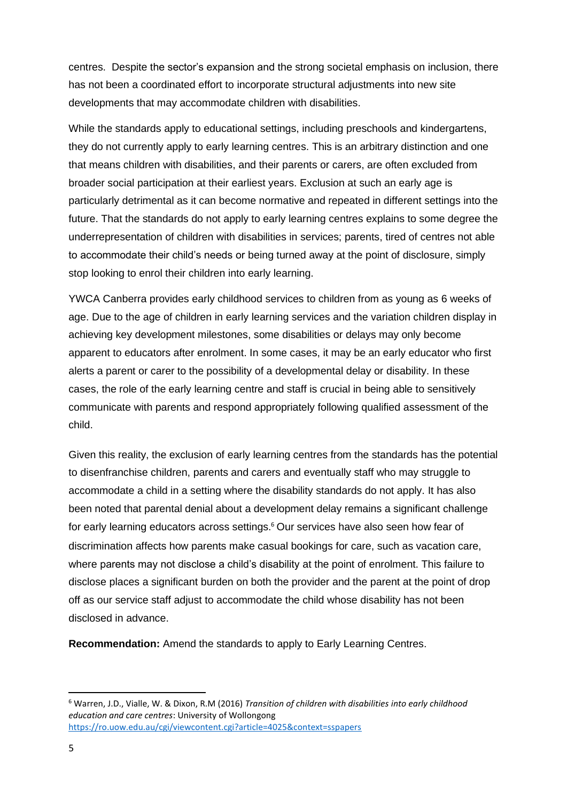centres. Despite the sector's expansion and the strong societal emphasis on inclusion, there has not been a coordinated effort to incorporate structural adjustments into new site developments that may accommodate children with disabilities.

While the standards apply to educational settings, including preschools and kindergartens, they do not currently apply to early learning centres. This is an arbitrary distinction and one that means children with disabilities, and their parents or carers, are often excluded from broader social participation at their earliest years. Exclusion at such an early age is particularly detrimental as it can become normative and repeated in different settings into the future. That the standards do not apply to early learning centres explains to some degree the underrepresentation of children with disabilities in services; parents, tired of centres not able to accommodate their child's needs or being turned away at the point of disclosure, simply stop looking to enrol their children into early learning.

YWCA Canberra provides early childhood services to children from as young as 6 weeks of age. Due to the age of children in early learning services and the variation children display in achieving key development milestones, some disabilities or delays may only become apparent to educators after enrolment. In some cases, it may be an early educator who first alerts a parent or carer to the possibility of a developmental delay or disability. In these cases, the role of the early learning centre and staff is crucial in being able to sensitively communicate with parents and respond appropriately following qualified assessment of the child.

Given this reality, the exclusion of early learning centres from the standards has the potential to disenfranchise children, parents and carers and eventually staff who may struggle to accommodate a child in a setting where the disability standards do not apply. It has also been noted that parental denial about a development delay remains a significant challenge for early learning educators across settings. <sup>6</sup> Our services have also seen how fear of discrimination affects how parents make casual bookings for care, such as vacation care, where parents may not disclose a child's disability at the point of enrolment. This failure to disclose places a significant burden on both the provider and the parent at the point of drop off as our service staff adjust to accommodate the child whose disability has not been disclosed in advance.

**Recommendation:** Amend the standards to apply to Early Learning Centres.

<sup>6</sup> Warren, J.D., Vialle, W. & Dixon, R.M (2016) *Transition of children with disabilities into early childhood education and care centres*: University of Wollongong <https://ro.uow.edu.au/cgi/viewcontent.cgi?article=4025&context=sspapers>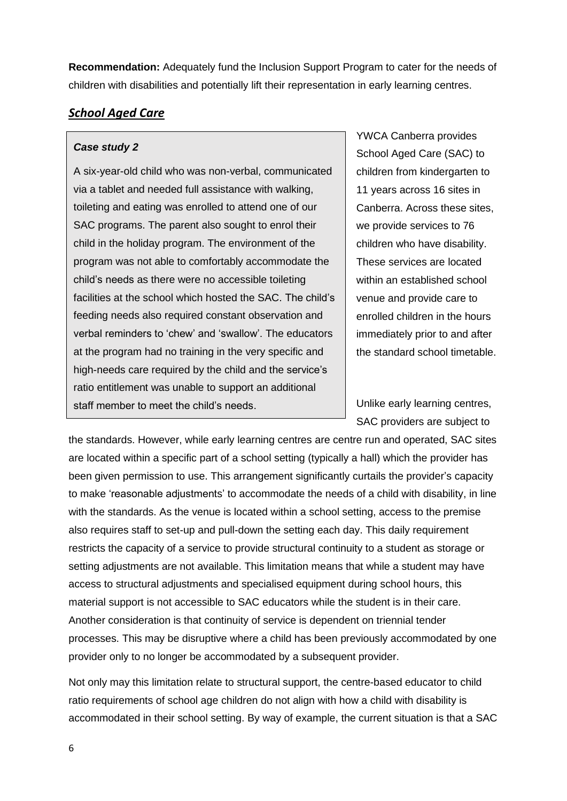**Recommendation:** Adequately fund the Inclusion Support Program to cater for the needs of children with disabilities and potentially lift their representation in early learning centres.

## *School Aged Care*

#### *Case study 2*

A six-year-old child who was non-verbal, communicated via a tablet and needed full assistance with walking, toileting and eating was enrolled to attend one of our SAC programs. The parent also sought to enrol their child in the holiday program. The environment of the program was not able to comfortably accommodate the child's needs as there were no accessible toileting facilities at the school which hosted the SAC. The child's feeding needs also required constant observation and verbal reminders to 'chew' and 'swallow'. The educators at the program had no training in the very specific and high-needs care required by the child and the service's ratio entitlement was unable to support an additional staff member to meet the child's needs.

YWCA Canberra provides School Aged Care (SAC) to children from kindergarten to 11 years across 16 sites in Canberra. Across these sites, we provide services to 76 children who have disability. These services are located within an established school venue and provide care to enrolled children in the hours immediately prior to and after the standard school timetable.

Unlike early learning centres, SAC providers are subject to

the standards. However, while early learning centres are centre run and operated, SAC sites are located within a specific part of a school setting (typically a hall) which the provider has been given permission to use. This arrangement significantly curtails the provider's capacity to make 'reasonable adjustments' to accommodate the needs of a child with disability, in line with the standards. As the venue is located within a school setting, access to the premise also requires staff to set-up and pull-down the setting each day. This daily requirement restricts the capacity of a service to provide structural continuity to a student as storage or setting adjustments are not available. This limitation means that while a student may have access to structural adjustments and specialised equipment during school hours, this material support is not accessible to SAC educators while the student is in their care. Another consideration is that continuity of service is dependent on triennial tender processes. This may be disruptive where a child has been previously accommodated by one provider only to no longer be accommodated by a subsequent provider.

Not only may this limitation relate to structural support, the centre-based educator to child ratio requirements of school age children do not align with how a child with disability is accommodated in their school setting. By way of example, the current situation is that a SAC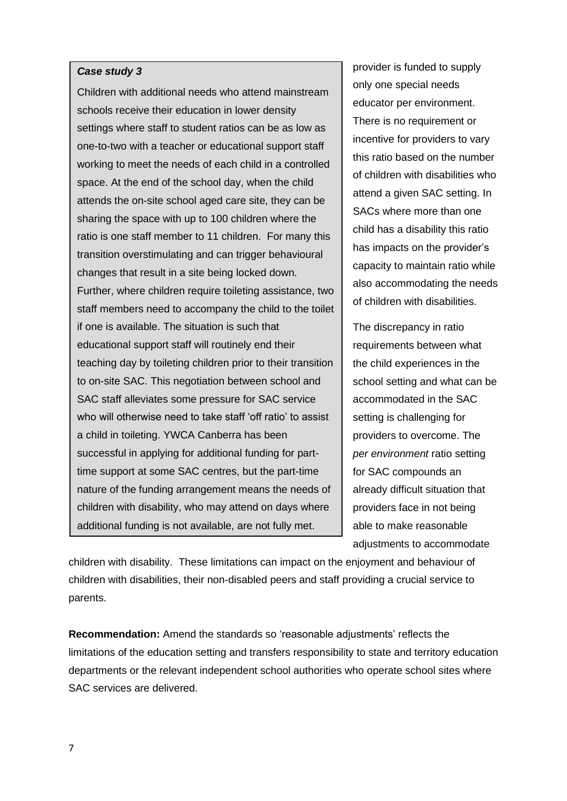#### *Case study 3*

Children with additional needs who attend mainstream schools receive their education in lower density settings where staff to student ratios can be as low as one-to-two with a teacher or educational support staff working to meet the needs of each child in a controlled space. At the end of the school day, when the child attends the on-site school aged care site, they can be sharing the space with up to 100 children where the ratio is one staff member to 11 children. For many this transition overstimulating and can trigger behavioural changes that result in a site being locked down. Further, where children require toileting assistance, two staff members need to accompany the child to the toilet if one is available. The situation is such that educational support staff will routinely end their teaching day by toileting children prior to their transition to on-site SAC. This negotiation between school and SAC staff alleviates some pressure for SAC service who will otherwise need to take staff 'off ratio' to assist a child in toileting. YWCA Canberra has been successful in applying for additional funding for parttime support at some SAC centres, but the part-time nature of the funding arrangement means the needs of children with disability, who may attend on days where additional funding is not available, are not fully met.

provider is funded to supply only one special needs educator per environment. There is no requirement or incentive for providers to vary this ratio based on the number of children with disabilities who attend a given SAC setting. In SACs where more than one child has a disability this ratio has impacts on the provider's capacity to maintain ratio while also accommodating the needs of children with disabilities.

The discrepancy in ratio requirements between what the child experiences in the school setting and what can be accommodated in the SAC setting is challenging for providers to overcome. The *per environment* ratio setting for SAC compounds an already difficult situation that providers face in not being able to make reasonable adjustments to accommodate

children with disability. These limitations can impact on the enjoyment and behaviour of children with disabilities, their non-disabled peers and staff providing a crucial service to parents.

**Recommendation:** Amend the standards so 'reasonable adjustments' reflects the limitations of the education setting and transfers responsibility to state and territory education departments or the relevant independent school authorities who operate school sites where SAC services are delivered.